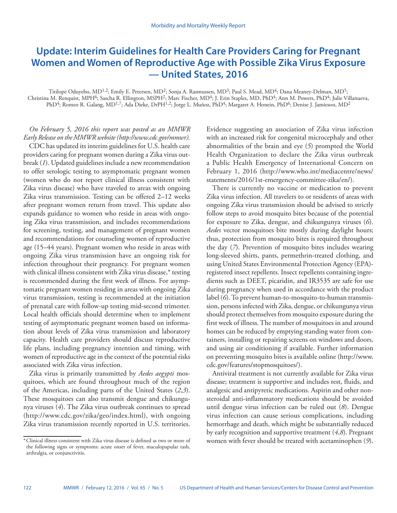# **Update: Interim Guidelines for Health Care Providers Caring for Pregnant Women and Women of Reproductive Age with Possible Zika Virus Exposure — United States, 2016**

Titilope Oduyebo, MD<sup>1,2</sup>; Emily E. Petersen, MD<sup>2</sup>; Sonja A. Rasmussen, MD<sup>3</sup>; Paul S. Mead, MD<sup>4</sup>; Dana Meaney-Delman, MD<sup>5</sup>; Christina M. Renquist, MPH<sup>6</sup>; Sascha R. Ellington, MSPH<sup>2</sup>; Marc Fischer, MD<sup>4</sup>; J. Erin Staples, MD, PhD<sup>4</sup>; Ann M. Powers, PhD<sup>4</sup>; Julie Villanueva, PhD<sup>4</sup>; Romeo R. Galang, MD<sup>1,7</sup>; Ada Dieke, DrPH<sup>1,2</sup>; Jorge L. Muñoz, PhD<sup>4</sup>; Margaret A. Honein, PhD<sup>6</sup>; Denise J. Jamieson, MD<sup>2</sup>

*On February 5, 2016 this report was posted as an MMWR Early Release on the MMWR website [\(http://www.cdc.gov/mmwr](http://www.cdc.gov/mmwr)).*

CDC has updated its interim guidelines for U.S. health care providers caring for pregnant women during a Zika virus outbreak (*1*). Updated guidelines include a new recommendation to offer serologic testing to asymptomatic pregnant women (women who do not report clinical illness consistent with Zika virus disease) who have traveled to areas with ongoing Zika virus transmission. Testing can be offered 2–12 weeks after pregnant women return from travel. This update also expands guidance to women who reside in areas with ongoing Zika virus transmission, and includes recommendations for screening, testing, and management of pregnant women and recommendations for counseling women of reproductive age (15–44 years). Pregnant women who reside in areas with ongoing Zika virus transmission have an ongoing risk for infection throughout their pregnancy. For pregnant women with clinical illness consistent with Zika virus disease,\* testing is recommended during the first week of illness. For asymptomatic pregnant women residing in areas with ongoing Zika virus transmission, testing is recommended at the initiation of prenatal care with follow-up testing mid-second trimester. Local health officials should determine when to implement testing of asymptomatic pregnant women based on information about levels of Zika virus transmission and laboratory capacity. Health care providers should discuss reproductive life plans, including pregnancy intention and timing, with women of reproductive age in the context of the potential risks associated with Zika virus infection.

Zika virus is primarily transmitted by *Aedes aegypti* mosquitoes, which are found throughout much of the region of the Americas, including parts of the United States (*2*,*3*). These mosquitoes can also transmit dengue and chikungunya viruses (*4*). The Zika virus outbreak continues to spread (<http://www.cdc.gov/zika/geo/index.html>), with ongoing Zika virus transmission recently reported in U.S. territories. Evidence suggesting an association of Zika virus infection with an increased risk for congenital microcephaly and other abnormalities of the brain and eye (*5*) prompted the World Health Organization to declare the Zika virus outbreak a Public Health Emergency of International Concern on February 1, 2016 [\(http://www.who.int/mediacentre/news/](http://www.who.int/mediacentre/news/statements/2016/1st-emergency-committee-zika/en/) [statements/2016/1st-emergency-committee-zika/en/](http://www.who.int/mediacentre/news/statements/2016/1st-emergency-committee-zika/en/)).

There is currently no vaccine or medication to prevent Zika virus infection. All travelers to or residents of areas with ongoing Zika virus transmission should be advised to strictly follow steps to avoid mosquito bites because of the potential for exposure to Zika, dengue, and chikungunya viruses (*6*). *Aedes* vector mosquitoes bite mostly during daylight hours; thus, protection from mosquito bites is required throughout the day (*7*). Prevention of mosquito bites includes wearing long-sleeved shirts, pants, permethrin-treated clothing, and using United States Environmental Protection Agency (EPA) registered insect repellents. Insect repellents containing ingredients such as DEET, picaridin, and IR3535 are safe for use during pregnancy when used in accordance with the product label (*6*). To prevent human-to-mosquito-to-human transmission, persons infected with Zika, dengue, or chikungunya virus should protect themselves from mosquito exposure during the first week of illness. The number of mosquitoes in and around homes can be reduced by emptying standing water from containers, installing or repairing screens on windows and doors, and using air conditioning if available. Further information on preventing mosquito bites is available online [\(http://www.](http://www.cdc.gov/features/stopmosquitoes/) [cdc.gov/features/stopmosquitoes/\)](http://www.cdc.gov/features/stopmosquitoes/).

Antiviral treatment is not currently available for Zika virus disease; treatment is supportive and includes rest, fluids, and analgesic and antipyretic medications. Aspirin and other nonsteroidal anti-inflammatory medications should be avoided until dengue virus infection can be ruled out (*8*). Dengue virus infection can cause serious complications, including hemorrhage and death, which might be substantially reduced by early recognition and supportive treatment (*4*,*8*). Pregnant women with fever should be treated with acetaminophen (*9*).

<sup>\*</sup>Clinical illness consistent with Zika virus disease is defined as two or more of the following signs or symptoms: acute onset of fever, maculopapular rash, arthralgia, or conjunctivitis.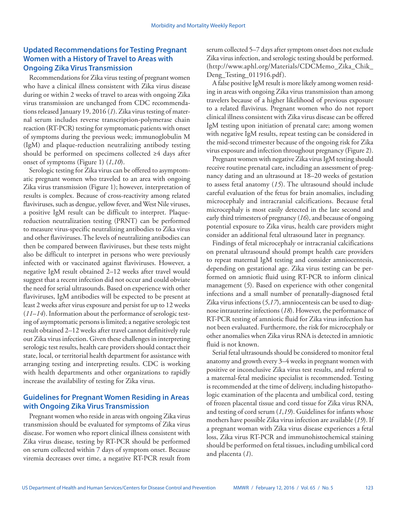### **Updated Recommendations for Testing Pregnant Women with a History of Travel to Areas with Ongoing Zika Virus Transmission**

Recommendations for Zika virus testing of pregnant women who have a clinical illness consistent with Zika virus disease during or within 2 weeks of travel to areas with ongoing Zika virus transmission are unchanged from CDC recommendations released January 19, 2016 (*1*). Zika virus testing of maternal serum includes reverse transcription-polymerase chain reaction (RT-PCR) testing for symptomatic patients with onset of symptoms during the previous week; immunoglobulin M (IgM) and plaque-reduction neutralizing antibody testing should be performed on specimens collected ≥4 days after onset of symptoms (Figure 1) (*1*,*10*).

Serologic testing for Zika virus can be offered to asymptomatic pregnant women who traveled to an area with ongoing Zika virus transmission (Figure 1); however, interpretation of results is complex. Because of cross-reactivity among related flaviviruses, such as dengue, yellow fever, and West Nile viruses, a positive IgM result can be difficult to interpret. Plaquereduction neutralization testing (PRNT) can be performed to measure virus-specific neutralizing antibodies to Zika virus and other flaviviruses. The levels of neutralizing antibodies can then be compared between flaviviruses, but these tests might also be difficult to interpret in persons who were previously infected with or vaccinated against flaviviruses. However, a negative IgM result obtained 2–12 weeks after travel would suggest that a recent infection did not occur and could obviate the need for serial ultrasounds. Based on experience with other flaviviruses, IgM antibodies will be expected to be present at least 2 weeks after virus exposure and persist for up to 12 weeks (*11*–*14*). Information about the performance of serologic testing of asymptomatic persons is limited; a negative serologic test result obtained 2–12 weeks after travel cannot definitively rule out Zika virus infection. Given these challenges in interpreting serologic test results, health care providers should contact their state, local, or territorial health department for assistance with arranging testing and interpreting results. CDC is working with health departments and other organizations to rapidly increase the availability of testing for Zika virus.

#### **Guidelines for Pregnant Women Residing in Areas with Ongoing Zika Virus Transmission**

Pregnant women who reside in areas with ongoing Zika virus transmission should be evaluated for symptoms of Zika virus disease. For women who report clinical illness consistent with Zika virus disease, testing by RT-PCR should be performed on serum collected within 7 days of symptom onset. Because viremia decreases over time, a negative RT-PCR result from serum collected 5–7 days after symptom onset does not exclude Zika virus infection, and serologic testing should be performed. [\(http://www.aphl.org/Materials/CDCMemo\\_Zika\\_Chik\\_](http://www.aphl.org/Materials/CDCMemo_Zika_Chik_Deng_Testing_011916.pdf) [Deng\\_Testing\\_011916.pdf](http://www.aphl.org/Materials/CDCMemo_Zika_Chik_Deng_Testing_011916.pdf)).

A false positive IgM result is more likely among women residing in areas with ongoing Zika virus transmission than among travelers because of a higher likelihood of previous exposure to a related flavivirus. Pregnant women who do not report clinical illness consistent with Zika virus disease can be offered IgM testing upon initiation of prenatal care; among women with negative IgM results, repeat testing can be considered in the mid-second trimester because of the ongoing risk for Zika virus exposure and infection throughout pregnancy (Figure 2).

Pregnant women with negative Zika virus IgM testing should receive routine prenatal care, including an assessment of pregnancy dating and an ultrasound at 18–20 weeks of gestation to assess fetal anatomy (*15*). The ultrasound should include careful evaluation of the fetus for brain anomalies, including microcephaly and intracranial calcifications. Because fetal microcephaly is most easily detected in the late second and early third trimesters of pregnancy (*16*), and because of ongoing potential exposure to Zika virus, health care providers might consider an additional fetal ultrasound later in pregnancy.

Findings of fetal microcephaly or intracranial calcifications on prenatal ultrasound should prompt health care providers to repeat maternal IgM testing and consider amniocentesis, depending on gestational age. Zika virus testing can be performed on amniotic fluid using RT-PCR to inform clinical management (*5*). Based on experience with other congenital infections and a small number of prenatally-diagnosed fetal Zika virus infections (*5*,*17*), amniocentesis can be used to diagnose intrauterine infections (*18*). However, the performance of RT-PCR testing of amniotic fluid for Zika virus infection has not been evaluated. Furthermore, the risk for microcephaly or other anomalies when Zika virus RNA is detected in amniotic fluid is not known.

Serial fetal ultrasounds should be considered to monitor fetal anatomy and growth every 3–4 weeks in pregnant women with positive or inconclusive Zika virus test results, and referral to a maternal-fetal medicine specialist is recommended. Testing is recommended at the time of delivery, including histopathologic examination of the placenta and umbilical cord, testing of frozen placental tissue and cord tissue for Zika virus RNA, and testing of cord serum (*1*,*19*). Guidelines for infants whose mothers have possible Zika virus infection are available (*19*). If a pregnant woman with Zika virus disease experiences a fetal loss, Zika virus RT-PCR and immunohistochemical staining should be performed on fetal tissues, including umbilical cord and placenta (*1*).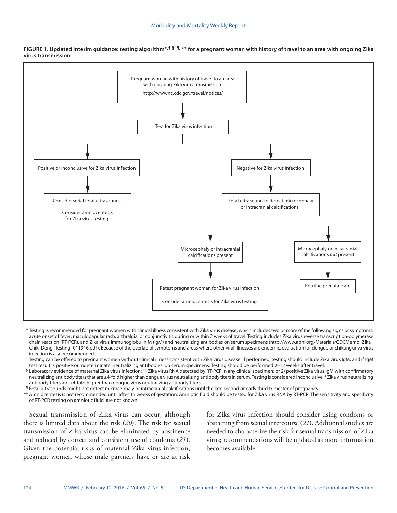**FIGURE 1. Updated Interim guidance: testing algorithm\*,†,§, ¶, \*\* for a pregnant woman with history of travel to an area with ongoing Zika virus transmission**



\* Testing is recommended for pregnant women with clinical illness consistent with Zika virus disease, which includes two or more of the following signs or symptoms: acute onset of fever, maculopapular rash, arthralgia, or conjunctivitis during or within 2 weeks of travel. Testing includes Zika virus reverse transcription-polymerase chain reaction (RT-PCR), and Zika virus immunoglobulin M (IgM) and neutralizing antibodies on serum specimens [\(http://www.aphl.org/Materials/CDCMemo\\_Zika\\_](http://www.aphl.org/Materials/CDCMemo_Zika_Chik_Deng_Testing_011916.pdf) [Chik\\_Deng\\_Testing\\_011916.pdf](http://www.aphl.org/Materials/CDCMemo_Zika_Chik_Deng_Testing_011916.pdf)). Because of the overlap of symptoms and areas where other viral illnesses are endemic, evaluation for dengue or chikungunya virus infection is also recommended.

 $^\dagger$  Testing can be offered to pregnant women without clinical illness consistent with Zika virus disease. If performed, testing should include Zika virus IgM, and if IgM test result is positive or indeterminate, neutralizing antibodies on serum specimens. Testing should be performed 2–12 weeks after travel.

 $\frac{1}{2}$  Laboratory evidence of maternal Zika virus infection: 1) Zika virus RNA detected by RT-PCR in any clinical specimen; or 2) positive Zika virus IqM with confirmatory neutralizing antibody titers that are ≥4-fold higher than dengue virus neutralizing antibody titers in serum. Testing is considered inconclusive if Zika virus neutralizing antibody titers are <4-fold higher than dengue virus neutralizing antibody titers.

¶ Fetal ultrasounds might not detect microcephaly or intracranial calcifications until the late second or early third trimester of pregnancy.

\*\* Amniocentesis is not recommended until after 15 weeks of gestation. Amniotic fluid should be tested for Zika virus RNA by RT-PCR. The sensitivity and specificity of RT-PCR testing on amniotic fluid are not known.

Sexual transmission of Zika virus can occur, although there is limited data about the risk (*20*). The risk for sexual transmission of Zika virus can be eliminated by abstinence and reduced by correct and consistent use of condoms (*21*). Given the potential risks of maternal Zika virus infection, pregnant women whose male partners have or are at risk for Zika virus infection should consider using condoms or abstaining from sexual intercourse (*21*). Additional studies are needed to characterize the risk for sexual transmission of Zika virus; recommendations will be updated as more information becomes available.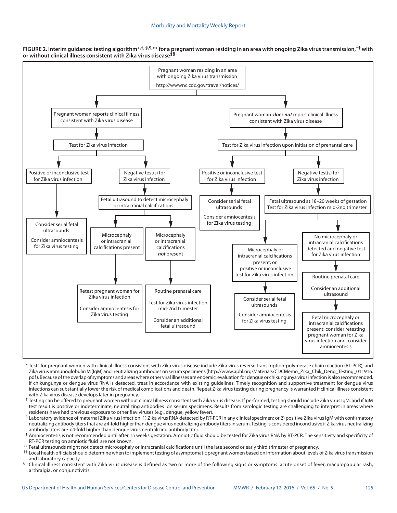



- \* Tests for pregnant women with clinical illness consistent with Zika virus disease include Zika virus reverse transcription-polymerase chain reaction (RT-PCR), and Zika virus immunoglobulin M (IgM) and neutralizing antibodies on serum specimens ([http://www.aphl.org/Materials/CDCMemo\\_Zika\\_Chik\\_Deng\\_Testing\\_011916.](http://www.aphl.org/Materials/CDCMemo_Zika_Chik_Deng_Testing_011916.pdf) [pdf](http://www.aphl.org/Materials/CDCMemo_Zika_Chik_Deng_Testing_011916.pdf)). Because of the overlap of symptoms and areas where other viral illnesses are endemic, evaluation for dengue or chikungunya virus infection is also recommended. If chikungunya or dengue virus RNA is detected, treat in accordance with existing guidelines. Timely recognition and supportive treatment for dengue virus infections can substantially lower the risk of medical complications and death. Repeat Zika virus testing during pregnancy is warranted if clinical illness consistent with Zika virus disease develops later in pregnancy.
- $^{\dagger}$  Testing can be offered to pregnant women without clinical illness consistent with Zika virus disease. If performed, testing should include Zika virus IgM, and if IgM test result is positive or indeterminate, neutralizing antibodies on serum specimens. Results from serologic testing are challenging to interpret in areas where residents have had previous exposure to other flaviviruses (e.g., dengue, yellow fever).
- § Laboratory evidence of maternal Zika virus infection: 1) Zika virus RNA detected by RT-PCR in any clinical specimen; or 2) positive Zika virus IgM with confirmatory neutralizing antibody titers that are ≥4-fold higher than dengue virus neutralizing antibody titers in serum. Testing is considered inconclusive if Zika virus neutralizing antibody titers are <4-fold higher than dengue virus neutralizing antibody titer.
- ¶ Amniocentesis is not recommended until after 15 weeks gestation. Amniotic fluid should be tested for Zika virus RNA by RT-PCR. The sensitivity and specificity of RT-PCR testing on amniotic fluid are not known.
- \*\* Fetal ultrasounds might not detect microcephaly or intracranial calcifications until the late second or early third trimester of pregnancy.
- †† Local health officials should determine when to implement testing of asymptomatic pregnant women based on information about levels of Zika virus transmission and laboratory capacity.
- §§ Clinical illness consistent with Zika virus disease is defined as two or more of the following signs or symptoms: acute onset of fever, maculopapular rash, arthralgia, or conjunctivitis.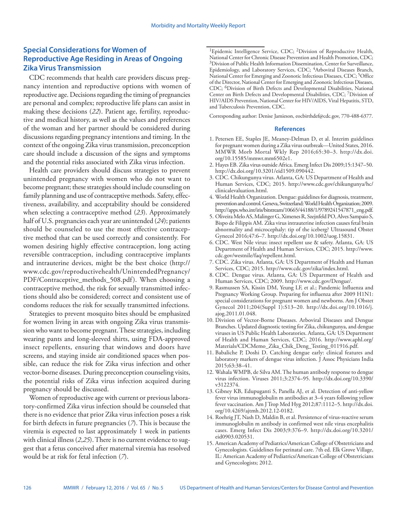## **Special Considerations for Women of Reproductive Age Residing in Areas of Ongoing Zika Virus Transmission**

CDC recommends that health care providers discuss pregnancy intention and reproductive options with women of reproductive age. Decisions regarding the timing of pregnancies are personal and complex; reproductive life plans can assist in making these decisions (*22*). Patient age, fertility, reproductive and medical history, as well as the values and preferences of the woman and her partner should be considered during discussions regarding pregnancy intentions and timing. In the context of the ongoing Zika virus transmission, preconception care should include a discussion of the signs and symptoms and the potential risks associated with Zika virus infection.

Health care providers should discuss strategies to prevent unintended pregnancy with women who do not want to become pregnant; these strategies should include counseling on family planning and use of contraceptive methods. Safety, effectiveness, availability, and acceptability should be considered when selecting a contraceptive method (*23*). Approximately half of U.S. pregnancies each year are unintended (*24*); patients should be counseled to use the most effective contraceptive method that can be used correctly and consistently. For women desiring highly effective contraception, long acting reversible contraception, including contraceptive implants and intrauterine devices, might be the best choice [\(http://](http://www.cdc.gov/reproductivehealth/UnintendedPregnancy/PDF/Contraceptive_methods_508.pdf) [www.cdc.gov/reproductivehealth/UnintendedPregnancy/](http://www.cdc.gov/reproductivehealth/UnintendedPregnancy/PDF/Contraceptive_methods_508.pdf) [PDF/Contraceptive\\_methods\\_508.pdf\)](http://www.cdc.gov/reproductivehealth/UnintendedPregnancy/PDF/Contraceptive_methods_508.pdf). When choosing a contraceptive method, the risk for sexually transmitted infections should also be considered; correct and consistent use of condoms reduces the risk for sexually transmitted infections.

Strategies to prevent mosquito bites should be emphasized for women living in areas with ongoing Zika virus transmission who want to become pregnant. These strategies, including wearing pants and long-sleeved shirts, using FDA-approved insect repellents, ensuring that windows and doors have screens, and staying inside air conditioned spaces when possible, can reduce the risk for Zika virus infection and other vector-borne diseases. During preconception counseling visits, the potential risks of Zika virus infection acquired during pregnancy should be discussed.

Women of reproductive age with current or previous laboratory-confirmed Zika virus infection should be counseled that there is no evidence that prior Zika virus infection poses a risk for birth defects in future pregnancies (*7*). This is because the viremia is expected to last approximately 1 week in patients with clinical illness (*2*,*25*). There is no current evidence to suggest that a fetus conceived after maternal viremia has resolved would be at risk for fetal infection (*7*).

<sup>1</sup>Epidemic Intelligence Service, CDC; <sup>2</sup>Division of Reproductive Health, National Center for Chronic Disease Prevention and Health Promotion, CDC; 3Division of Public Health Information Dissemination, Center for Surveillance, Epidemiology, and Laboratory Services, CDC; 4Arboviral Diseases Branch, National Center for Emerging and Zoonotic Infectious Diseases, CDC; <sup>5</sup>Office of the Director, National Center for Emerging and Zoonotic Infectious Diseases, CDC; 6Division of Birth Defects and Developmental Disabilities, National Center on Birth Defects and Developmental Disabilities, CDC; 7Division of HIV/AIDS Prevention, National Center for HIV/AIDS, Viral Hepatitis, STD, and Tuberculosis Prevention, CDC.

Corresponding author: Denise Jamieson, [eocbirthdef@cdc.gov](mailto:eocbirthdef@cdc.gov), 770-488-6377.

#### **References**

- 1. Petersen EE, Staples JE, Meaney-Delman D, et al. Interim guidelines for pregnant women during a Zika virus outbreak—United States, 2016. MMWR Morb Mortal Wkly Rep 2016;65:30–3. [http://dx.doi.](http://dx.doi.org/10.15585/mmwr.mm6502e1) [org/10.15585/mmwr.mm6502e1](http://dx.doi.org/10.15585/mmwr.mm6502e1).
- 2. Hayes EB. Zika virus outside Africa. Emerg Infect Dis 2009;15:1347–50. <http://dx.doi.org/10.3201/eid1509.090442>.
- 3. CDC. Chikungunya virus. Atlanta, GA: US Department of Health and Human Services, CDC; 2015. [http://www.cdc.gov/chikungunya/hc/](http://www.cdc.gov/chikungunya/hc/clinicalevaluation.html) [clinicalevaluation.html](http://www.cdc.gov/chikungunya/hc/clinicalevaluation.html).
- 4. World Health Organization. Dengue: guidelines for diagnosis, treatment, prevention and control. Geneva, Switzerland: World Health Organization; 2009. [http://apps.who.int/iris/bitstream/10665/44188/1/9789241547871\\_eng.pdf.](http://apps.who.int/iris/bitstream/10665/44188/1/9789241547871_eng.pdf)
- 5. Oliveira Melo AS, Malinger G, Ximenes R, Szejnfeld PO, Alves Sampaio S, Bispo de Filippis AM. Zika virus intrauterine infection causes fetal brain abnormality and microcephaly: tip of the iceberg? Ultrasound Obstet Gynecol 2016;47:6–7. <http://dx.doi.org/10.1002/uog.15831>.
- 6. CDC. West Nile virus: insect repellent use & safety. Atlanta, GA: US Department of Health and Human Services, CDC; 2015. [http://www.](http://www.cdc.gov/westnile/faq/repellent.html) [cdc.gov/westnile/faq/repellent.html.](http://www.cdc.gov/westnile/faq/repellent.html)
- 7. CDC. Zika virus. Atlanta, GA: US Department of Health and Human Services, CDC; 2015.<http://www.cdc.gov/zika/index.html>.
- 8. CDC. Dengue virus. Atlanta, GA: US Department of Health and Human Services, CDC; 2009. <http://www.cdc.gov/Dengue/>.
- 9. Rasmussen SA, Kissin DM, Yeung LF, et al.; Pandemic Influenza and Pregnancy Working Group. Preparing for influenza after 2009 H1N1: special considerations for pregnant women and newborns. Am J Obstet Gynecol 2011;204(Suppl 1):S13–20. [http://dx.doi.org/10.1016/j.](http://dx.doi.org/10.1016/j.ajog.2011.01.048) [ajog.2011.01.048.](http://dx.doi.org/10.1016/j.ajog.2011.01.048)
- 10. Division of Vector-Borne Diseases. Arboviral Diseases and Dengue Branches. Updated diagnostic testing for Zika, chikungunya, and dengue viruses in US Public Health Laboratories. Atlanta, GA: US Department of Health and Human Services, CDC; 2016. [http://www.aphl.org/](http://www.aphl.org/Materials/CDCMemo_Zika_Chik_Deng_Testing_011916.pdf) [Materials/CDCMemo\\_Zika\\_Chik\\_Deng\\_Testing\\_011916.pdf](http://www.aphl.org/Materials/CDCMemo_Zika_Chik_Deng_Testing_011916.pdf).
- 11. Babaliche P, Doshi D. Catching dengue early: clinical features and laboratory markers of dengue virus infection. J Assoc Physicians India 2015;63:38–41.
- 12. Wahala WMPB, de Silva AM. The human antibody response to dengue virus infection. Viruses 2011;3:2374–95. [http://dx.doi.org/10.3390/](http://dx.doi.org/10.3390/v3122374) [v3122374](http://dx.doi.org/10.3390/v3122374).
- 13. Gibney KB, Edupuganti S, Panella AJ, et al. Detection of anti-yellow fever virus immunoglobulin m antibodies at 3–4 years following yellow fever vaccination. Am J Trop Med Hyg 2012;87:1112–5. [http://dx.doi.](http://dx.doi.org/10.4269/ajtmh.2012.12-0182) [org/10.4269/ajtmh.2012.12-0182](http://dx.doi.org/10.4269/ajtmh.2012.12-0182).
- 14. Roehrig JT, Nash D, Maldin B, et al. Persistence of virus-reactive serum immunoglobulin m antibody in confirmed west nile virus encephalitis cases. Emerg Infect Dis 2003;9:376–9. [http://dx.doi.org/10.3201/](http://dx.doi.org/10.3201/eid0903.020531) [eid0903.020531.](http://dx.doi.org/10.3201/eid0903.020531)
- 15. American Academy of Pediatrics/American College of Obstetricians and Gynecologists. Guidelines for perinatal care. 7th ed. Elk Grove Village, IL: American Academy of Pediatrics/American College of Obstetricians and Gynecologists; 2012.